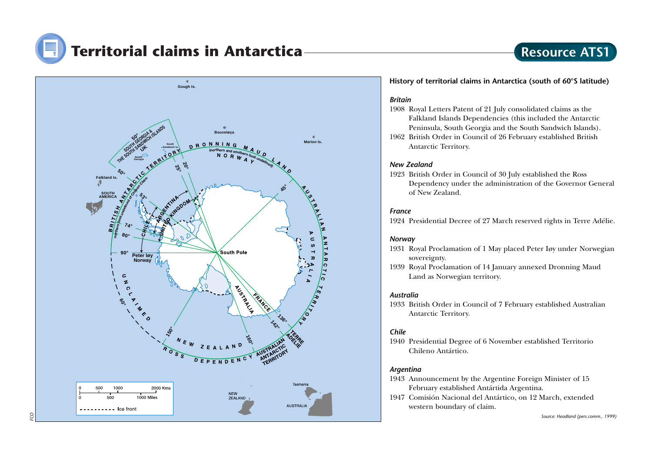



#### **History of territorial claims in Antarctica (south of 60°S latitude)**

#### *Britain*

- 1908 Royal Letters Patent of 21 July consolidated claims as the Falkland Islands Dependencies (this included the Antarctic Peninsula, South Georgia and the South Sandwich Islands).
- 1962 British Order in Council of 26 February established British Antarctic Territory.

#### *New Zealand*

1923 British Order in Council of 30 July established the Ross Dependency under the administration of the Governor General of New Zealand.

#### *France*

1924 Presidential Decree of 27 March reserved rights in Terre Adélie.

#### *Norway*

- 1931 Royal Proclamation of 1 May placed Peter Iøy under Norwegian sovereignty.
- 1939 Royal Proclamation of 14 January annexed Dronning Maud Land as Norwegian territory.

#### *Australia*

<sup>1933</sup> British Order in Council of 7 February established Australian Antarctic Territory.

#### *Chile*

1940 Presidential Degree of 6 November established Territorio Chileno Antártico.

#### *Argentina*

- 1943 Announcement by the Argentine Foreign Minister of 15 February established Antártida Argentina.
- 1947 Comisión Nacional del Antártico, on 12 March, extended western boundary of claim.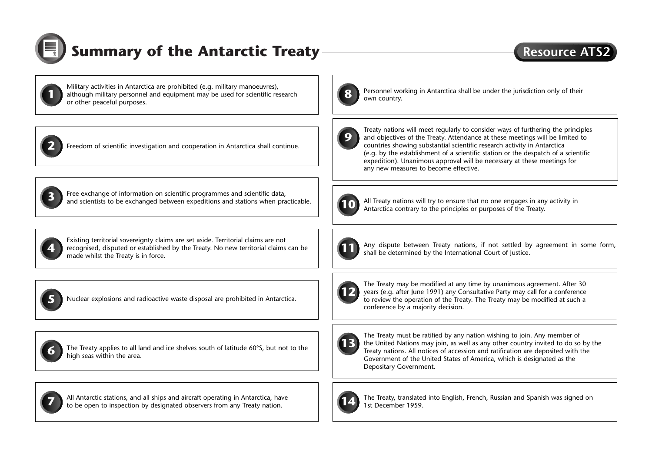

## **Summary of the Antarctic Treaty**

### **Resource ATS**

Military activities in Antarctica are prohibited (e.g. military manoeuvres), although military personnel and equipment may be used for scientific research and the security of their countries and the under the jurisdiction only of their or other peaceful purposes.



**2** Freedom of scientific investigation and cooperation in Antarctica shall continue.



Free exchange of information on scientific programmes and scientific data, **<sup>3</sup>** and scientists to be exchanged between expeditions and stations when practicable.



Existing territorial sovereignty claims are set aside. Territorial claims are not recognised, disputed or established by the Treaty. No new territorial claims can be made whilst the Treaty is in force.



**5** Nuclear explosions and radioactive waste disposal are prohibited in Antarctica.



The Treaty applies to all land and ice shelves south of latitude 60°S, but not to the high seas within the area.



All Antarctic stations, and all ships and aircraft operating in Antarctica, have **<sup>7</sup>** to be open to inspection by designated observers from any Treaty nation.



Personnel working in Antarctica shall be under the jurisdiction only of their own country.



Treaty nations will meet regularly to consider ways of furthering the principles and objectives of the Treaty. Attendance at these meetings will be limited to countries showing substantial scientific research activity in Antarctica (e.g. by the establishment of a scientific station or the despatch of a scientific expedition). Unanimous approval will be necessary at these meetings for any new measures to become effective.



All Treaty nations will try to ensure that no one engages in any activity in Antarctica contrary to the principles or purposes of the Treaty.



Any dispute between Treaty nations, if not settled by agreement in some form, shall be determined by the International Court of Justice.



The Treaty may be modified at any time by unanimous agreement. After 30 years (e.g. after June 1991) any Consultative Party may call for a conference to review the operation of the Treaty. The Treaty may be modified at such a conference by a majority decision.



The Treaty must be ratified by any nation wishing to join. Any member of the United Nations may join, as well as any other country invited to do so by the Treaty nations. All notices of accession and ratification are deposited with the Government of the United States of America, which is designated as the Depositary Government.



The Treaty, translated into English, French, Russian and Spanish was signed on 1st December 1959.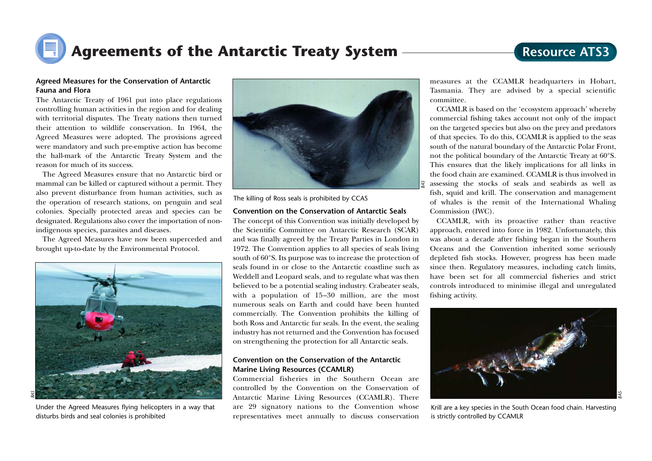

### **Resource ATS3**

### **Agreed Measures for the Conservation of Antarctic Fauna and Flora**

The Antarctic Treaty of 1961 put into place regulations controlling human activities in the region and for dealing with territorial disputes. The Treaty nations then turned their attention to wildlife conservation. In 1964, the Agreed Measures were adopted. The provisions agreed were mandatory and such pre-emptive action has become the hall-mark of the Antarctic Treaty System and the reason for much of its success.

The Agreed Measures ensure that no Antarctic bird or mammal can be killed or captured without a permit. They also prevent disturbance from human activities, such as the operation of research stations, on penguin and seal colonies. Specially protected areas and species can be designated. Regulations also cover the importation of nonindigenous species, parasites and diseases.

The Agreed Measures have now been superceded and brought up-to-date by the Environmental Protocol.



Under the Agreed Measures flying helicopters in a way that disturbs birds and seal colonies is prohibited



The killing of Ross seals is prohibited by CCAS

#### **Convention on the Conservation of Antarctic Seals**

The concept of this Convention was initially developed by the Scientific Committee on Antarctic Research (SCAR) and was finally agreed by the Treaty Parties in London in 1972. The Convention applies to all species of seals living south of 60°S. Its purpose was to increase the protection of seals found in or close to the Antarctic coastline such as Weddell and Leopard seals, and to regulate what was then believed to be a potential sealing industry. Crabeater seals, with a population of 15–30 million, are the most numerous seals on Earth and could have been hunted commercially. The Convention prohibits the killing of both Ross and Antarctic fur seals. In the event, the sealing industry has not returned and the Convention has focused on strengthening the protection for all Antarctic seals.

#### **Convention on the Conservation of the Antarctic Marine Living Resources (CCAMLR)**

Commercial fisheries in the Southern Ocean are controlled by the Convention on the Conservation of Antarctic Marine Living Resources (CCAMLR). There are 29 signatory nations to the Convention whose representatives meet annually to discuss conservation

measures at the CCAMLR headquarters in Hobart, Tasmania. They are advised by a special scientific committee.

CCAMLR is based on the 'ecosystem approach' whereby commercial fishing takes account not only of the impact on the targeted species but also on the prey and predators of that species. To do this, CCAMLR is applied to the seas south of the natural boundary of the Antarctic Polar Front, not the political boundary of the Antarctic Treaty at 60°S. This ensures that the likely implications for all links in the food chain are examined. CCAMLR is thus involved in assessing the stocks of seals and seabirds as well as fish, squid and krill. The conservation and management of whales is the remit of the International Whaling Commission (IWC).

CCAMLR, with its proactive rather than reactive approach, entered into force in 1982. Unfortunately, this was about a decade after fishing began in the Southern Oceans and the Convention inherited some seriously depleted fish stocks. However, progress has been made since then. Regulatory measures, including catch limits, have been set for all commercial fisheries and strict controls introduced to minimise illegal and unregulated fishing activity.



Krill are a key species in the South Ocean food chain. Harvesting is strictly controlled by CCAMLR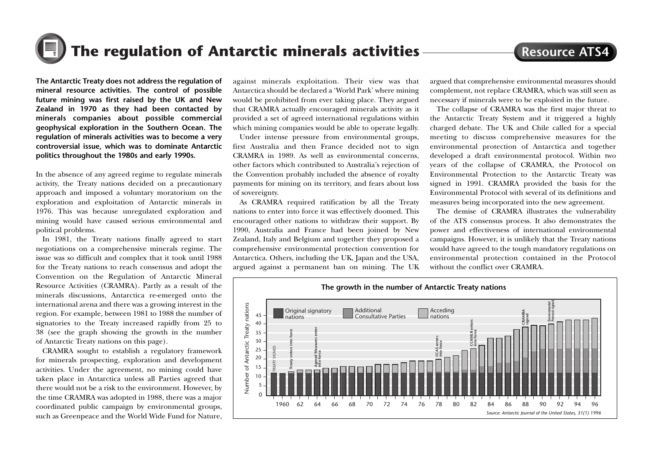

**Resource ATS4**

**The Antarctic Treaty does not address the regulation of mineral resource activities. The control of possible future mining was first raised by the UK and New Zealand in 1970 as they had been contacted by minerals companies about possible commercial geophysical exploration in the Southern Ocean. The regulation of minerals activities was to become a very controversial issue, which was to dominate Antarctic politics throughout the 1980s and early 1990s.**

In the absence of any agreed regime to regulate minerals activity, the Treaty nations decided on a precautionary approach and imposed a voluntary moratorium on the exploration and exploitation of Antarctic minerals in 1976. This was because unregulated exploration and mining would have caused serious environmental and political problems.

In 1981, the Treaty nations finally agreed to start negotiations on a comprehensive minerals regime. The issue was so difficult and complex that it took until 1988 for the Treaty nations to reach consensus and adopt the Convention on the Regulation of Antarctic Mineral Resource Activities (CRAMRA). Partly as a result of the minerals discussions, Antarctica re-emerged onto the international arena and there was a growing interest in the region. For example, between 1981 to 1988 the number of signatories to the Treaty increased rapidly from 25 to 38 (see the graph showing the growth in the number of Antarctic Treaty nations on this page).

CRAMRA sought to establish a regulatory framework for minerals prospecting, exploration and development activities. Under the agreement, no mining could have taken place in Antarctica unless all Parties agreed that there would not be a risk to the environment. However, by the time CRAMRA was adopted in 1988, there was a major coordinated public campaign by environmental groups, such as Greenpeace and the World Wide Fund for Nature,

against minerals exploitation. Their view was that Antarctica should be declared a 'World Park' where mining would be prohibited from ever taking place. They argued that CRAMRA actually encouraged minerals activity as it provided a set of agreed international regulations within which mining companies would be able to operate legally.

Under intense pressure from environmental groups, first Australia and then France decided not to sign CRAMRA in 1989. As well as environmental concerns, other factors which contributed to Australia's rejection of the Convention probably included the absence of royalty payments for mining on its territory, and fears about loss of sovereignty.

As CRAMRA required ratification by all the Treaty nations to enter into force it was effectively doomed. This encouraged other nations to withdraw their support. By 1990, Australia and France had been joined by New Zealand, Italy and Belgium and together they proposed a comprehensive environmental protection convention for Antarctica. Others, including the UK, Japan and the USA, argued against a permanent ban on mining. The UK argued that comprehensive environmental measures should complement, not replace CRAMRA, which was still seen as necessary if minerals were to be exploited in the future.

The collapse of CRAMRA was the first major threat to the Antarctic Treaty System and it triggered a highly charged debate. The UK and Chile called for a special meeting to discuss comprehensive measures for the environmental protection of Antarctica and together developed a draft environmental protocol. Within two years of the collapse of CRAMRA, the Protocol on Environmental Protection to the Antarctic Treaty was signed in 1991. CRAMRA provided the basis for the Environmental Protocol with several of its definitions and measures being incorporated into the new agreement.

The demise of CRAMRA illustrates the vulnerability of the ATS consensus process. It also demonstrates the power and effectiveness of international environmental campaigns. However, it is unlikely that the Treaty nations would have agreed to the tough mandatory regulations on environmental protection contained in the Protocol without the conflict over CRAMRA.

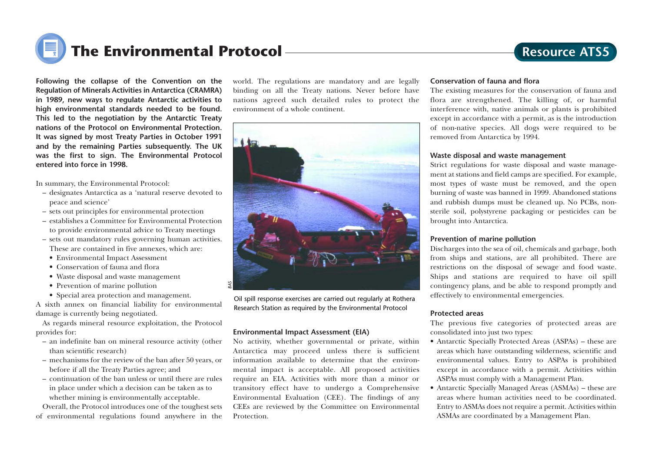

**Following the collapse of the Convention on the Regulation of Minerals Activities in Antarctica (CRAMRA) in 1989, new ways to regulate Antarctic activities to high environmental standards needed to be found. This led to the negotiation by the Antarctic Treaty nations of the Protocol on Environmental Protection. It was signed by most Treaty Parties in October 1991 and by the remaining Parties subsequently. The UK was the first to sign. The Environmental Protocol entered into force in 1998.**

In summary, the Environmental Protocol:

- designates Antarctica as a 'natural reserve devoted to peace and science'
- sets out principles for environmental protection
- establishes a Committee for Environmental Protection to provide environmental advice to Treaty meetings
- sets out mandatory rules governing human activities. These are contained in five annexes, which are:
- Environmental Impact Assessment
- Conservation of fauna and flora
- Waste disposal and waste management
- Prevention of marine pollution
- Special area protection and management.

A sixth annex on financial liability for environmental damage is currently being negotiated.

As regards mineral resource exploitation, the Protocol provides for:

- an indefinite ban on mineral resource activity (other than scientific research)
- mechanisms for the review of the ban after 50 years, or before if all the Treaty Parties agree; and
- continuation of the ban unless or until there are rules in place under which a decision can be taken as to whether mining is environmentally acceptable.

Overall, the Protocol introduces one of the toughest sets of environmental regulations found anywhere in the world. The regulations are mandatory and are legally binding on all the Treaty nations. Never before have nations agreed such detailed rules to protect the environment of a whole continent.



Oil spill response exercises are carried out regularly at Rothera Research Station as required by the Environmental Protocol

#### **Environmental Impact Assessment (EIA)**

No activity, whether governmental or private, within Antarctica may proceed unless there is sufficient information available to determine that the environmental impact is acceptable. All proposed activities require an EIA. Activities with more than a minor or transitory effect have to undergo a Comprehensive Environmental Evaluation (CEE). The findings of any CEEs are reviewed by the Committee on Environmental Protection.

#### **Conservation of fauna and flora**

The existing measures for the conservation of fauna and flora are strengthened. The killing of, or harmful interference with, native animals or plants is prohibited except in accordance with a permit, as is the introduction of non-native species. All dogs were required to be removed from Antarctica by 1994.

#### **Waste disposal and waste management**

Strict regulations for waste disposal and waste management at stations and field camps are specified. For example, most types of waste must be removed, and the open burning of waste was banned in 1999. Abandoned stations and rubbish dumps must be cleaned up. No PCBs, nonsterile soil, polystyrene packaging or pesticides can be brought into Antarctica.

#### **Prevention of marine pollution**

Discharges into the sea of oil, chemicals and garbage, both from ships and stations, are all prohibited. There are restrictions on the disposal of sewage and food waste. Ships and stations are required to have oil spill contingency plans, and be able to respond promptly and effectively to environmental emergencies.

#### **Protected areas**

The previous five categories of protected areas are consolidated into just two types:

- Antarctic Specially Protected Areas (ASPAs) these are areas which have outstanding wilderness, scientific and environmental values. Entry to ASPAs is prohibited except in accordance with a permit. Activities within ASPAs must comply with a Management Plan.
- Antarctic Specially Managed Areas (ASMAs) these are areas where human activities need to be coordinated. Entry to ASMAs does not require a permit. Activities within ASMAs are coordinated by a Management Plan.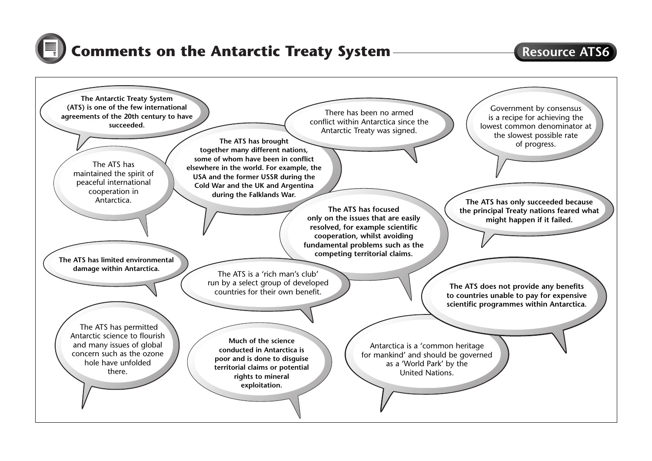

### **Comments on the Antarctic Treaty System**

### **Resource ATS6**

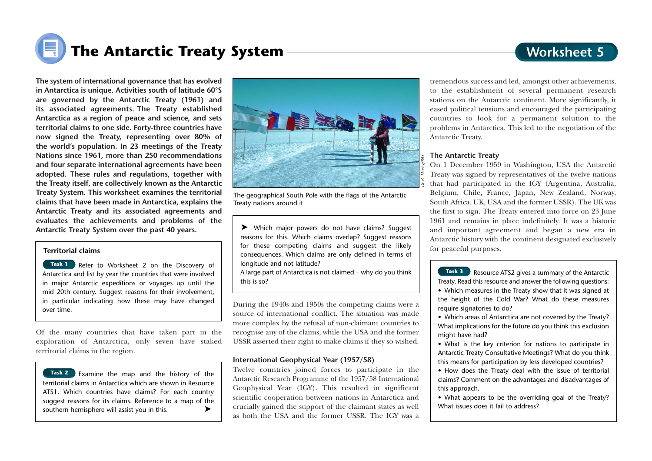### **Worksheet 5**

# **The Antarctic Treaty System**

**The system of international governance that has evolved in Antarctica is unique. Activities south of latitude 60°S are governed by the Antarctic Treaty (1961) and its associated agreements. The Treaty established Antarctica as a region of peace and science, and sets territorial claims to one side. Forty-three countries have now signed the Treaty, representing over 80% of the world's population. In 23 meetings of the Treaty Nations since 1961, more than 250 recommendations and four separate international agreements have been adopted. These rules and regulations, together with the Treaty itself, are collectively known as the Antarctic Treaty System. This worksheet examines the territorial claims that have been made in Antarctica, explains the Antarctic Treaty and its associated agreements and evaluates the achievements and problems of the Antarctic Treaty System over the past 40 years.**

#### **Territorial claims**

**Task 1** Refer to Worksheet 2 on the Discovery of Antarctica and list by year the countries that were involved in major Antarctic expeditions or voyages up until the mid 20th century. Suggest reasons for their involvement, in particular indicating how these may have changed over time.

Of the many countries that have taken part in the exploration of Antarctica, only seven have staked territorial claims in the region.

Examine the map and the history of the **Task 2** territorial claims in Antarctica which are shown in Resource ATS1. Which countries have claims? For each country suggest reasons for its claims. Reference to a map of the southern hemisphere will assist you in this. ➤



The geographical South Pole with the flags of the Antarctic Treaty nations around it

➤ Which major powers do not have claims? Suggest reasons for this. Which claims overlap? Suggest reasons for these competing claims and suggest the likely consequences. Which claims are only defined in terms of longitude and not latitude?

A large part of Antarctica is not claimed – why do you think this is so?

During the 1940s and 1950s the competing claims were a source of international conflict. The situation was made more complex by the refusal of non-claimant countries to recognise any of the claims, while the USA and the former USSR asserted their right to make claims if they so wished.

#### **International Geophysical Year (1957/58)**

Twelve countries joined forces to participate in the Antarctic Research Programme of the 1957/58 International Geophysical Year (IGY). This resulted in significant scientific cooperation between nations in Antarctica and crucially gained the support of the claimant states as well as both the USA and the former USSR. The IGY was a

tremendous success and led, amongst other achievements, to the establishment of several permanent research stations on the Antarctic continent. More significantly, it eased political tensions and encouraged the participating countries to look for a permanent solution to the problems in Antarctica. This led to the negotiation of the Antarctic Treaty.

#### **The Antarctic Treaty**

On 1 December 1959 in Washington, USA the Antarctic Treaty was signed by representatives of the twelve nations that had participated in the IGY (Argentina, Australia, Belgium, Chile, France, Japan, New Zealand, Norway, South Africa, UK, USA and the former USSR). The UK was the first to sign. The Treaty entered into force on 23 June 1961 and remains in place indefinitely. It was a historic and important agreement and began a new era in Antarctic history with the continent designated exclusively for peaceful purposes.

Resource ATS2 gives a summary of the Antarctic **Task 3** Treaty. Read this resource and answer the following questions: • Which measures in the Treaty show that it was signed at the height of the Cold War? What do these measures require signatories to do?

- Which areas of Antarctica are not covered by the Treaty? What implications for the future do you think this exclusion might have had?
- What is the key criterion for nations to participate in Antarctic Treaty Consultative Meetings? What do you think this means for participation by less developed countries?
- How does the Treaty deal with the issue of territorial claims? Comment on the advantages and disadvantages of this approach.
- What appears to be the overriding goal of the Treaty? What issues does it fail to address?